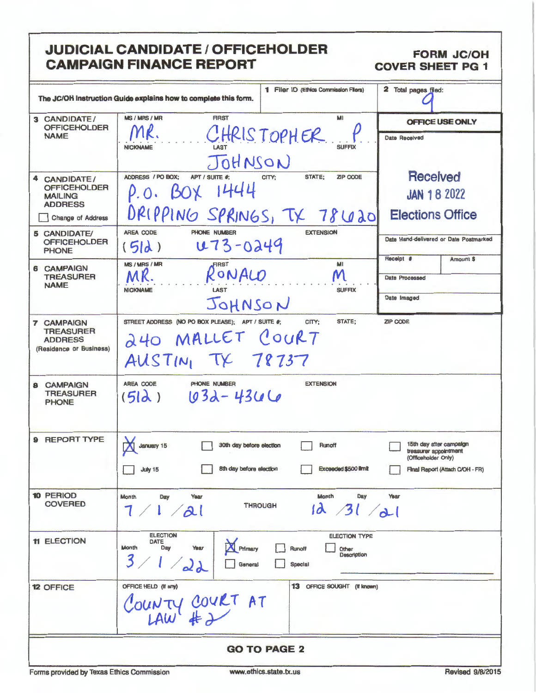# **JUDICIAL CANDIDATE / OFFICEHOLDER CAMPAIGN FINANCE REPORT**

**FORM JC/OH COVER SHEET PG 1** 

|                                                                             |                                                                                                  | 1 Filer ID (Ethics Commission Filers)                                    | 2 Total pages filed:                                                                                       |
|-----------------------------------------------------------------------------|--------------------------------------------------------------------------------------------------|--------------------------------------------------------------------------|------------------------------------------------------------------------------------------------------------|
|                                                                             | The JC/OH Instruction Guide explains how to complete this form.                                  |                                                                          |                                                                                                            |
| 3 CANDIDATE/<br><b>OFFICEHOLDER</b><br><b>NAME</b>                          | MS / MRS / MR<br><b>FIRST</b><br><b>NICKNAME</b>                                                 | MI<br>CHRISTOPHER<br><b>SUFFIX</b>                                       | OFFICE USE ONLY<br><b>Date Received</b>                                                                    |
|                                                                             | JOHNSON                                                                                          |                                                                          |                                                                                                            |
| 4 CANDIDATE/<br><b>OFFICEHOLDER</b><br><b>MAILING</b><br><b>ADDRESS</b>     | ADDRESS / PO BOX;<br>APT / SUITE #:<br>$BOX$ $1444$<br>$\rho$ . O.<br>DRIPPING SPRINGS, TX 78620 | STATE;<br>CITY:<br>ZIP CODE                                              | <b>Received</b><br><b>JAN 18 2022</b><br><b>Elections Office</b>                                           |
| Change of Address                                                           | AREA CODE<br>PHONE NUMBER                                                                        | <b>EXTENSION</b>                                                         |                                                                                                            |
| 5 CANDIDATE/<br><b>OFFICEHOLDER</b><br><b>PHONE</b>                         | u73-0249<br>(5d)                                                                                 |                                                                          | Date Hand-delivered or Date Postmarked                                                                     |
| <b>6 CAMPAIGN</b>                                                           | MS / MRS / MR<br>RONALO                                                                          | MI<br>M                                                                  | Receipt #<br>Amount \$<br><b>Date Processed</b>                                                            |
| <b>TREASURER</b><br><b>NAME</b>                                             | <b>NICKNAME</b><br>LAST                                                                          | <b>SUFFIX</b>                                                            |                                                                                                            |
|                                                                             | JOHNSON                                                                                          |                                                                          | Date Imaged                                                                                                |
| 7 CAMPAIGN<br><b>TREASURER</b><br><b>ADDRESS</b><br>(Residence or Business) | STREET ADDRESS (NO PO BOX PLEASE); APT / SUITE #;<br>240 MALLET COURT<br>AUSTIN, TX 78737        | STATE;<br>CITY:                                                          | ZIP CODE                                                                                                   |
| <b>CAMPAIGN</b><br>8<br><b>TREASURER</b><br><b>PHONE</b>                    | AREA CODE<br>PHONE NUMBER<br>$1032 - 4366$<br>(5d)                                               | <b>EXTENSION</b>                                                         |                                                                                                            |
| <b>REPORT TYPE</b><br>9                                                     | <b>January 15</b><br>30th day before election<br>8th day before election<br>July 15              | Runoff<br>Exceeded \$500 limit                                           | 15th day after campaign<br>treasurer appointment<br>(Officeholder Only)<br>Final Report (Attach C/OH - FR) |
| 10 PERIOD<br><b>COVERED</b>                                                 | Year<br>Month<br>Day<br>7/1/21                                                                   | Month<br>Day<br><b>THROUGH</b><br>$1d \frac{31}{d}$                      | Year                                                                                                       |
| <b>11 ELECTION</b>                                                          | <b>ELECTION</b><br><b>DATE</b><br>Primary<br>Day<br>Year<br>Month<br>3/<br>$\Delta d$<br>General | <b>ELECTION TYPE</b><br>Runoff<br>Other<br>Description<br><b>Special</b> |                                                                                                            |
| <b>12 OFFICE</b>                                                            | OFFICE HELD (If any)<br>COUNTY COVET AT                                                          | 13 OFFICE SOUGHT (If Imown)                                              |                                                                                                            |
|                                                                             |                                                                                                  | <b>GO TO PAGE 2</b>                                                      |                                                                                                            |
| Forms provided by Texas Ethics Commission                                   |                                                                                                  | www.ethics.state.tx.us                                                   | Revised 9/8/2015                                                                                           |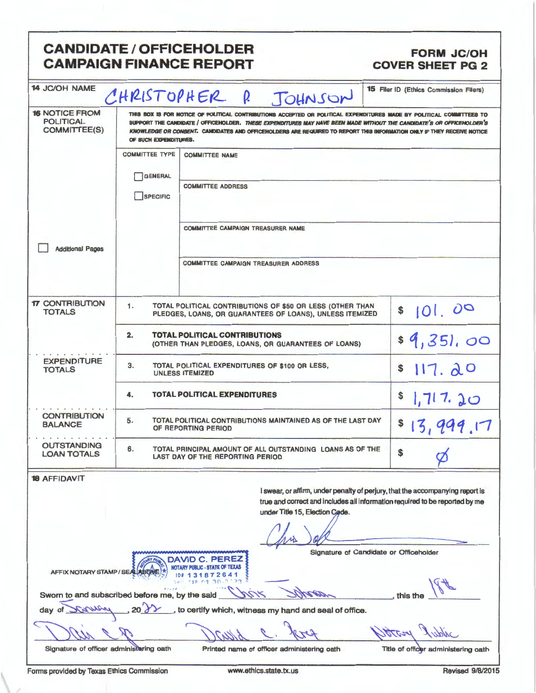|                                                                                 |                                                                                                                 | <b>CANDIDATE / OFFICEHOLDER</b><br><b>CAMPAIGN FINANCE REPORT</b>                                                                                                                                                                                                                                                                                                       | <b>FORM JC/OH</b><br><b>COVER SHEET PG 2</b>                                                                                                                 |
|---------------------------------------------------------------------------------|-----------------------------------------------------------------------------------------------------------------|-------------------------------------------------------------------------------------------------------------------------------------------------------------------------------------------------------------------------------------------------------------------------------------------------------------------------------------------------------------------------|--------------------------------------------------------------------------------------------------------------------------------------------------------------|
| <b>14 JC/OH NAME</b>                                                            | CHRISTOPHER                                                                                                     | P.<br>JOHNSON                                                                                                                                                                                                                                                                                                                                                           | 15 Filer ID (Ethics Commission Filers)                                                                                                                       |
| <b>16 NOTICE FROM</b><br><b>POLITICAL</b><br><b>COMMITTEE(S)</b>                | OF SUCH EXPENDITURES.                                                                                           | THIS BOX IS FOR NOTICE OF POLITICAL CONTRIBUTIONS ACCEPTED OR POLITICAL EXPENDITURES MADE BY POLITICAL COMMITTEES TO<br>SUPPORT THE CANDIDATE / OFFICEHOLDER. THESE EXPENDITURES MAY HAVE BEEN MADE WITHOUT THE CANDIDATE'S OR OFFICEHOLDER'S<br>KNOWLEDGE OR CONSENT. CANDIDATES AND OFFICEHOLDERS ARE REQUIRED TO REPORT THIS INFORMATION ONLY IF THEY RECEIVE NOTICE |                                                                                                                                                              |
|                                                                                 | <b>COMMITTEE TYPE</b>                                                                                           | <b>COMMITTEE NAME</b>                                                                                                                                                                                                                                                                                                                                                   |                                                                                                                                                              |
|                                                                                 | GENERAL<br>SPECIFIC                                                                                             | <b>COMMITTEE ADDRESS</b>                                                                                                                                                                                                                                                                                                                                                |                                                                                                                                                              |
|                                                                                 |                                                                                                                 | <b>COMMITTEE CAMPAIGN TREASURER NAME</b>                                                                                                                                                                                                                                                                                                                                |                                                                                                                                                              |
| <b>Additional Pages</b>                                                         |                                                                                                                 | <b>COMMITTEE CAMPAIGN TREASURER ADDRESS</b>                                                                                                                                                                                                                                                                                                                             |                                                                                                                                                              |
| <b>17 CONTRIBUTION</b><br><b>TOTALS</b>                                         | 1.                                                                                                              | TOTAL POLITICAL CONTRIBUTIONS OF \$50 OR LESS (OTHER THAN<br>PLEDGES, LOANS, OR GUARANTEES OF LOANS), UNLESS ITEMIZED                                                                                                                                                                                                                                                   | 101.00<br>\$                                                                                                                                                 |
|                                                                                 | <b>TOTAL POLITICAL CONTRIBUTIONS</b><br>2.<br>\$4,351,00<br>(OTHER THAN PLEDGES, LOANS, OR GUARANTEES OF LOANS) |                                                                                                                                                                                                                                                                                                                                                                         |                                                                                                                                                              |
| <b>EXPENDITURE</b><br><b>TOTALS</b>                                             | 3.<br>TOTAL POLITICAL EXPENDITURES OF \$100 OR LESS,<br>117.20<br>\$<br><b>UNLESS ITEMIZED</b>                  |                                                                                                                                                                                                                                                                                                                                                                         |                                                                                                                                                              |
|                                                                                 | 4.                                                                                                              | <b>TOTAL POLITICAL EXPENDITURES</b>                                                                                                                                                                                                                                                                                                                                     | \$<br>1.717.20                                                                                                                                               |
| <b>CONTRIBUTION</b><br><b>BALANCE</b>                                           | 5.                                                                                                              | TOTAL POLITICAL CONTRIBUTIONS MAINTAINED AS OF THE LAST DAY<br>OF REPORTING PERIOD                                                                                                                                                                                                                                                                                      | \$13,999.17                                                                                                                                                  |
| <b>OUTSTANDING</b><br><b>LOAN TOTALS</b>                                        | 6.                                                                                                              | TOTAL PRINCIPAL AMOUNT OF ALL OUTSTANDING LOANS AS OF THE<br>LAST DAY OF THE REPORTING PERIOD                                                                                                                                                                                                                                                                           | \$                                                                                                                                                           |
| <b>18 AFFIDAVIT</b>                                                             |                                                                                                                 | under Title 15, Election Code.                                                                                                                                                                                                                                                                                                                                          | I swear, or affirm, under penalty of perjury, that the accompanying report is<br>true and correct and includes all information required to be reported by me |
| AFFIX NOTARY STAMP / SEALABOW<br>Sworn to and subscribed before me, by the said |                                                                                                                 | DAVID C. PEREZ<br><b>BLIC - STATE OF TEXAS</b><br>872641<br>フマ                                                                                                                                                                                                                                                                                                          | Signature of Candidate or Officeholder<br>this the                                                                                                           |
| <b>ANSA</b><br>dav                                                              |                                                                                                                 | to certify which, witness my hand and seal of office.                                                                                                                                                                                                                                                                                                                   |                                                                                                                                                              |
| Signature of officer administering oath                                         |                                                                                                                 | Printed name of officer administering oath                                                                                                                                                                                                                                                                                                                              | Title of officer administering oath                                                                                                                          |
| Forms provided by Texas Ethics Commission                                       |                                                                                                                 | www.ethics.state.tx.us                                                                                                                                                                                                                                                                                                                                                  | Revised 9/8/2015                                                                                                                                             |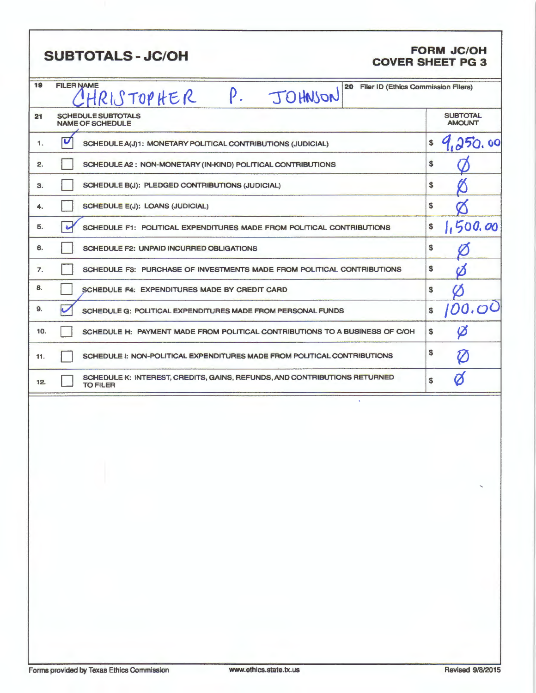|     | <b>SUBTOTALS - JC/OH</b>                                                                          | <b>FORM JC/OH</b><br><b>COVER SHEET PG 3</b> |
|-----|---------------------------------------------------------------------------------------------------|----------------------------------------------|
| 19  | <b>FILER NAME</b><br>20<br><b>Filer ID (Ethics Commission Filers)</b><br>P. JOHNSON<br>HRISTOPHER |                                              |
| 21  | <b>SCHEDULE SUBTOTALS</b><br><b>NAME OF SCHEDULE</b>                                              | <b>SUBTOTAL</b><br><b>AMOUNT</b>             |
| 1.  | U<br>SCHEDULE A(J)1: MONETARY POLITICAL CONTRIBUTIONS (JUDICIAL)                                  | 250.00<br>\$                                 |
| 2.  | SCHEDULE A2: NON-MONETARY (IN-KIND) POLITICAL CONTRIBUTIONS                                       | \$                                           |
| 3.  | SCHEDULE B(J): PLEDGED CONTRIBUTIONS (JUDICIAL)                                                   | \$                                           |
| 4.  | <b>SCHEDULE E(J): LOANS (JUDICIAL)</b>                                                            | \$                                           |
| 5.  | ی<br>SCHEDULE F1: POLITICAL EXPENDITURES MADE FROM POLITICAL CONTRIBUTIONS                        | 1,500.00<br>\$                               |
| 6.  | <b>SCHEDULE F2: UNPAID INCURRED OBLIGATIONS</b>                                                   | \$                                           |
| 7.  | SCHEDULE F3: PURCHASE OF INVESTMENTS MADE FROM POLITICAL CONTRIBUTIONS                            | \$                                           |
| 8.  | SCHEDULE F4: EXPENDITURES MADE BY CREDIT CARD                                                     | \$                                           |
| 9.  | SCHEDULE G: POLITICAL EXPENDITURES MADE FROM PERSONAL FUNDS                                       | 100.00<br>\$                                 |
| 10. | SCHEDULE H: PAYMENT MADE FROM POLITICAL CONTRIBUTIONS TO A BUSINESS OF C/OH                       | $\boldsymbol{\varphi}$<br>\$                 |
| 11. | SCHEDULE I: NON-POLITICAL EXPENDITURES MADE FROM POLITICAL CONTRIBUTIONS                          | \$<br>$\boldsymbol{\mathcal{U}}$             |
| 12. | SCHEDULE K: INTEREST, CREDITS, GAINS, REFUNDS, AND CONTRIBUTIONS RETURNED<br><b>TO FILER</b>      | Ø<br>\$                                      |
|     |                                                                                                   |                                              |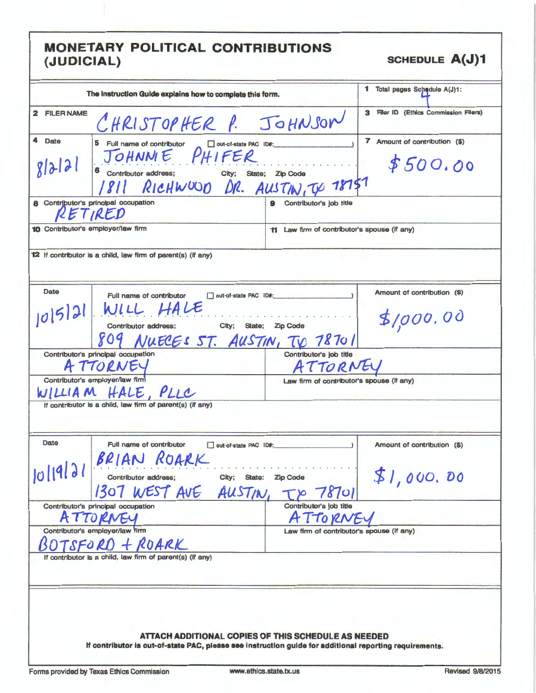| The Instruction Guide explains how to complete this form.                                                                                                                         | 1 Total pages Schedule A(J)1:                                                                                                                                  |
|-----------------------------------------------------------------------------------------------------------------------------------------------------------------------------------|----------------------------------------------------------------------------------------------------------------------------------------------------------------|
| 2 FILER NAME<br>CHRISTOPHER P. JOHNSON                                                                                                                                            | 3 Filer ID (Ethics Commission Filers)                                                                                                                          |
| 4 Date<br>5<br>Full name of contributor<br>out-of-state PAC ID#:<br>JOHNME PHIFER<br>8 2 3 <br>6 Contributor address; City; State; Zip Code<br>1811 RICHWUOD DR. AUSTIN, TO 78757 | 7 Amount of contribution (\$)<br>\$500.00                                                                                                                      |
| 8 Contributor's principal occupation<br>RETIRED                                                                                                                                   | Contributor's job title<br>9                                                                                                                                   |
| 10 Contributor's employer/law firm                                                                                                                                                | 11 Law firm of contributor's spouse (if any)                                                                                                                   |
| 12 If contributor is a child, law firm of parent(s) (if any)                                                                                                                      |                                                                                                                                                                |
| Date<br>Full name of contributor<br>out-of-state PAC ID#:<br>$10 5 2 $ WILL HALE<br>Contributor address; City; State; Zip Code<br>809 NUECES ST. AUSTIN, TO 78701                 | Amount of contribution (\$)<br>\$1,000.00                                                                                                                      |
| Contributor's principal occupation                                                                                                                                                | Contributor's job title                                                                                                                                        |
| A TTORNEY                                                                                                                                                                         | ATTORNEY                                                                                                                                                       |
| Contributor's employer/law firm<br>WILLIAM HALE, PLLC<br>If contributor is a child, law firm of parent(s) (if any)                                                                | Law firm of contributor's spouse (If any)                                                                                                                      |
| <b>Date</b><br>Full name of contributor<br>out-of-state PAC ID#:<br>BRIAN ROARK<br>  4 31 <br>Contributor address;<br>1307 WEST AVE AUSTIN,                                       | Amount of contribution (\$)<br>\$1,000.00<br>City; State: Zip Code<br>78701                                                                                    |
| Contributor's principal occupation                                                                                                                                                | Contributor's job title                                                                                                                                        |
| TTORNEY<br>A                                                                                                                                                                      | ATTORNE                                                                                                                                                        |
| Contributor's employer/law firm<br>TSFORD + ROARK                                                                                                                                 | Law firm of contributor's spouse (If any)                                                                                                                      |
| If contributor is a child, law firm of parent(s) (if any)                                                                                                                         |                                                                                                                                                                |
|                                                                                                                                                                                   | ATTACH ADDITIONAL COPIES OF THIS SCHEDULE AS NEEDED<br>If contributor is out-of-state PAC, please see instruction guide for additional reporting requirements. |
| Forms provided by Texas Ethics Commission                                                                                                                                         | <b>Revised 9/8/2015</b><br>www.ethics.state.tx.us                                                                                                              |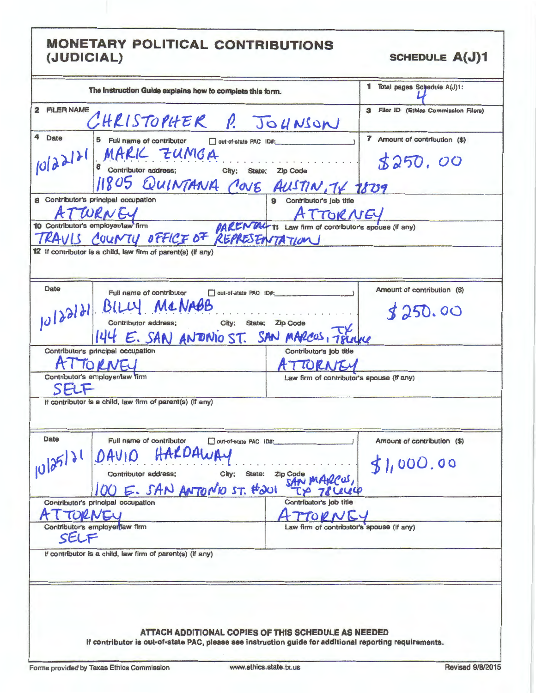| The Instruction Guide explains how to complete this form.                                                                                                                   |                                                     | 1 Total pages Schedule A(J)1:            |
|-----------------------------------------------------------------------------------------------------------------------------------------------------------------------------|-----------------------------------------------------|------------------------------------------|
| 2 FILER NAME<br>CHRISTOPHER P. JOHNSON                                                                                                                                      |                                                     | 3 Filer ID (Ethics Commission Filers)    |
| 4 Date<br>5 Full name of contributor<br>out-of-state PAC ID#:<br>MARK ZUMGA<br>6 Contributor address; City; State; Zip Code<br>14120<br>11805 QUINTANA COVE AUSTIN, TV 1809 |                                                     | 7 Amount of contribution (\$)<br>5250,00 |
| 8 Contributor's principal occupation                                                                                                                                        |                                                     |                                          |
| ATWRNEY<br>10 Contributor's employer/law firm<br>RAVIS COUNTY OFFICE OF REPRESENTATION                                                                                      |                                                     |                                          |
| 12 If contributor is a child, law firm of parent(s) (if any)                                                                                                                |                                                     |                                          |
| Date<br>Full name of contributor<br>out-of-state PAC ID#:<br>10/22/21 BILLY MCNABB<br>144 E. SAN ANDINO ST. SAN MARCOS, TRUCK                                               |                                                     | Amount of contribution (\$)<br>3250.00   |
| Contributor's principal occupation<br>IORNEU                                                                                                                                | Contributor's job title<br>TORNITY                  |                                          |
| Contributor's employer/law firm<br>SELF                                                                                                                                     | Law firm of contributor's spouse (if any)           |                                          |
| If contributor is a child, law firm of parent(s) (if any)                                                                                                                   |                                                     |                                          |
| Date<br>Full name of contributor<br>out-of-state PAC ID#:<br>HARDAWAY<br>DAVID<br>10 25 31<br>Contributor address;<br>City;<br>State:<br>E. SAN ANTONO ST. #201             | Zip Code                                            | Amount of contribution (\$)<br>51,000.00 |
| Contributor's principal occupation                                                                                                                                          | Contributor's job title                             |                                          |
| Contributor's employer law firm<br>SELF                                                                                                                                     | TODNI<br>Law firm of contributor's spouse (If any)  |                                          |
| If contributor is a child, law firm of parent(s) (if any)                                                                                                                   |                                                     |                                          |
| If contributor is out-of-state PAC, please see instruction guide for additional reporting requirements.                                                                     | ATTACH ADDITIONAL COPIES OF THIS SCHEDULE AS NEEDED |                                          |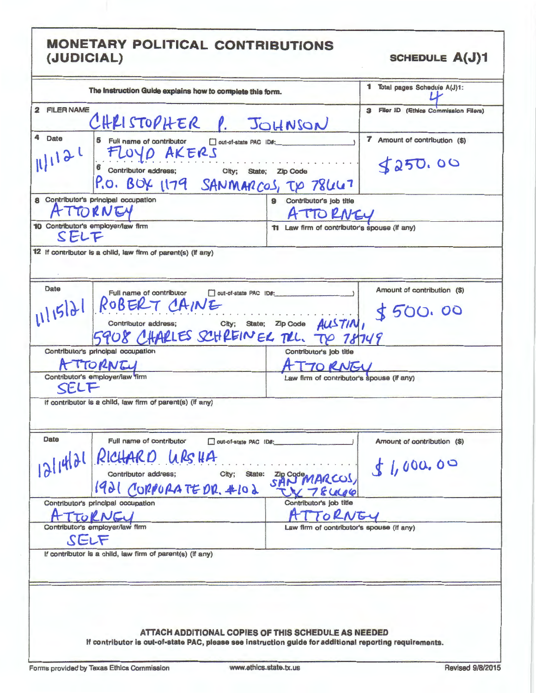| The Instruction Guide explains how to complete this form.                                                                                                                                             |                                              | 1 Total pages Schedule A(J)1:            |
|-------------------------------------------------------------------------------------------------------------------------------------------------------------------------------------------------------|----------------------------------------------|------------------------------------------|
| 2 FILER NAME<br>CHRISTOPHER P. JOHNSON                                                                                                                                                                |                                              | 3 Filer ID (Ethics Commission Filers)    |
| 4<br>Date<br>5.<br>Full name of contributor<br>out-of-state PAC ID#:<br>FLOYD AKERS<br>1112<br>City; State; Zip Code<br>Contributor address;<br>P.O. BOX 1179 SANMARCOS, TO 78447                     |                                              | 7 Amount of contribution (\$)<br>3250.00 |
| 8 Contributor's principal occupation<br>TORNEY                                                                                                                                                        | 9 Contributor's job title<br>ATTORNEY        |                                          |
| 10 Contributor's employer/law firm<br>SELF                                                                                                                                                            | 11 Law firm of contributor's spouse (If any) |                                          |
| 12 If contributor is a child, law firm of parent(s) (if any)                                                                                                                                          |                                              |                                          |
| Date<br>Full name of contributor<br>out-of-state PAC ID#:<br>$ROBEKT$ <i>CAINE</i><br>Contribution address: City: State; $Zp$ Code <i>AUSTIN</i> ,<br>1115121<br>5908 CHARLES SCHREINER TRL. TO 78749 |                                              | Amount of contribution (\$)<br>\$500.00  |
| Contributor's principal occupation                                                                                                                                                                    | Contributor's job title                      |                                          |
| TTORNEY                                                                                                                                                                                               | <b>TORNEU</b>                                |                                          |
| Contributor's employer/law firm<br>SELF                                                                                                                                                               | Law firm of contributor's spouse (If any)    |                                          |
| If contributor is a child, law firm of parent(s) (if any)                                                                                                                                             |                                              |                                          |
| Date<br>Full name of contributor<br>out-of-state PAC ID#:<br>RICHARD WRSHA<br>12/14/21<br>The company of the company<br>Contributor address;<br>1921 CORPORATE DR. #102                               | City; State: Zip Code MARCOS,<br>78400       | Amount of contribution (\$)<br>1,000.00  |
| Contributor's principal occupation                                                                                                                                                                    | Contributor's job title                      |                                          |
| TORNEY                                                                                                                                                                                                | ATTORNEY                                     |                                          |
| Contributor's employer/law firm<br>SELF                                                                                                                                                               | Law firm of contributor's spouse (if any)    |                                          |
| If contributor is a child, law firm of parent(s) (if any)                                                                                                                                             |                                              |                                          |
| ATTACH ADDITIONAL COPIES OF THIS SCHEDULE AS NEEDED<br>If contributor is out-of-state PAC, please see instruction guide for additional reporting requirements.                                        |                                              |                                          |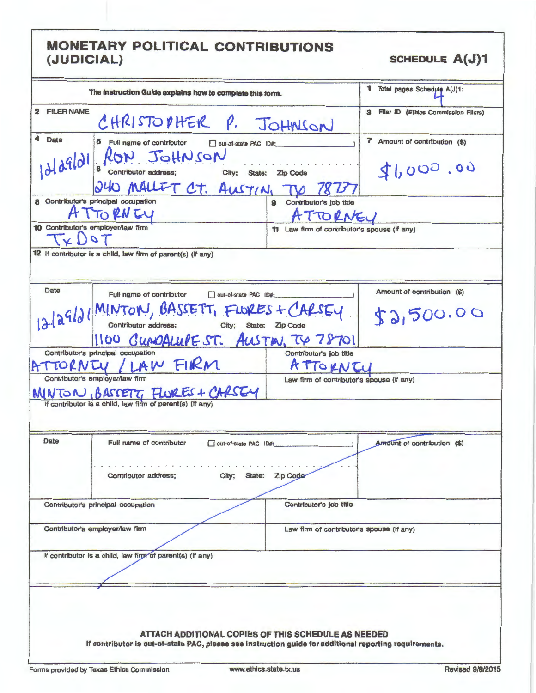| The Instruction Guide explains how to complete this form.                                                                                                                                                                                                                                                                                                                                                                            | 1 Total pages Schedule A(J)1:         |
|--------------------------------------------------------------------------------------------------------------------------------------------------------------------------------------------------------------------------------------------------------------------------------------------------------------------------------------------------------------------------------------------------------------------------------------|---------------------------------------|
| 2 FILER NAME<br>CHRISTOPHER P. JOHNSON                                                                                                                                                                                                                                                                                                                                                                                               | 3 Filer ID (Ethics Commission Filers) |
| 4 Date<br>5 Full name of contributor<br>out-of-state PAC ID#:<br>$ \partial l \partial^q  \partial l $ $\int_{\mathcal{C}} \frac{\partial^q u}{\partial t}$ $\int_{\mathcal{C}} \frac{\partial^q u}{\partial t}$ $\int_{\mathcal{C}} \frac{\partial^q u}{\partial t}$ $\int_{\mathcal{C}} \frac{\partial^q u}{\partial t}$ $\int_{\mathcal{C}} \frac{\partial^q u}{\partial t}$ $\int_{\mathcal{C}} \frac{\partial^q u}{\partial t}$ | 7 Amount of contribution (\$)         |
| 240 MALLET CT. AUSTIN, TV                                                                                                                                                                                                                                                                                                                                                                                                            | 41,000.00                             |
| 8 Contributor's principal occupation<br>9 Contributor's job title                                                                                                                                                                                                                                                                                                                                                                    |                                       |
| TTORNEY<br>ATTORNEU                                                                                                                                                                                                                                                                                                                                                                                                                  |                                       |
| 10 Contributor's employer/law firm<br><b>11</b> Law firm of contributor's spouse (If any)<br>V)                                                                                                                                                                                                                                                                                                                                      |                                       |
| 12 If contributor is a child, law firm of parent(s) (If any)                                                                                                                                                                                                                                                                                                                                                                         |                                       |
| Date<br>Full name of contributor<br>out-of-state PAC ID#:<br>the control of the control of the                                                                                                                                                                                                                                                                                                                                       | Amount of contribution (\$)           |
| $12 2910 $ MINTON, BASSETT, FLORES + CARSEY.                                                                                                                                                                                                                                                                                                                                                                                         | 52,500.00                             |
| 1100 CUMOALLIF ST. AUSTIN, TV 78701                                                                                                                                                                                                                                                                                                                                                                                                  |                                       |
| Contributor's principal occupation<br>Contributor's job title<br>ATTORNTY / LAW FIRM<br>ATTORNEY                                                                                                                                                                                                                                                                                                                                     |                                       |
| Contributor's employer/law firm<br>Law firm of contributor's spouse (if any)<br>MINTON, BASSETT, FLURES + CARSEY                                                                                                                                                                                                                                                                                                                     |                                       |
| If contributor is a child, law firm of parent(s) (if any                                                                                                                                                                                                                                                                                                                                                                             |                                       |
| Date<br>Full name of contributor<br>out-of-state PAC ID#:                                                                                                                                                                                                                                                                                                                                                                            | Amount of contribution (\$)           |
| Zip Code<br>Contributor address;<br>City; State:                                                                                                                                                                                                                                                                                                                                                                                     |                                       |
| Contributor's job title<br>Contributor's principal occupation                                                                                                                                                                                                                                                                                                                                                                        |                                       |
| Contributor's employer/law firm<br>Law firm of contributor's spouse (If any)                                                                                                                                                                                                                                                                                                                                                         |                                       |
| If contributor is a child, law firm of parent(s) (if any)                                                                                                                                                                                                                                                                                                                                                                            |                                       |
| ATTACH ADDITIONAL COPIES OF THIS SCHEDULE AS NEEDED<br>If contributor is out-of-state PAC, please see instruction guide for additional reporting requirements.                                                                                                                                                                                                                                                                       |                                       |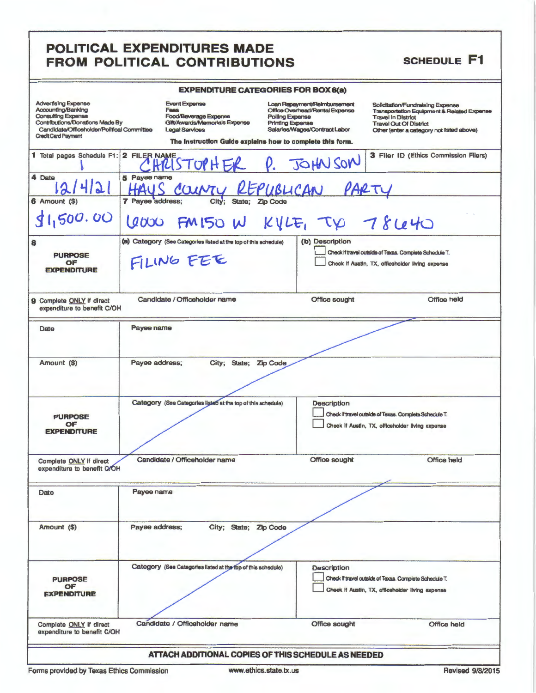## POLITICAL EXPENDITURES MADE FROM POLITICAL CONTRIBUTIONS

#### **SCHEDULE F1**

| <b>EXPENDITURE CATEGORIES FOR BOX 8(a)</b> |  |
|--------------------------------------------|--|

| Advertising Expense<br>Accounting/Banking<br>Consulting Expense<br><b>Contributions/Donations Made By</b><br>Candidate/Officeholder/Political Committee<br><b>Credit Card Payment</b> | <b>Event Expense</b><br>Fees<br>Food/Beverage Expense<br>Glit/Awards/Memorials Expense<br>Legal Services | LAFLINDI I UNE UAI LUUNILU FUN DUAGG/<br>Loan Repayment/Reimbursement<br>Office Overhead/Rental Expense<br>Polling Expense<br>Printing Expense<br>Salarles/Wages/Contract Labor<br>The Instruction Guide explains how to complete this form. | Solicitation/Fundraising Expense<br>Transportation Equipment & Related Expense<br><b>Travel In District</b><br><b>Travel Out Of District</b><br>Other (enter a category not listed above) |
|---------------------------------------------------------------------------------------------------------------------------------------------------------------------------------------|----------------------------------------------------------------------------------------------------------|----------------------------------------------------------------------------------------------------------------------------------------------------------------------------------------------------------------------------------------------|-------------------------------------------------------------------------------------------------------------------------------------------------------------------------------------------|
| 1 Total pages Schedule F1:                                                                                                                                                            | 2 FILER NAME                                                                                             | HRISTOPH ER P. JOHN SON                                                                                                                                                                                                                      | 3 Filer ID (Ethics Commission Filers)                                                                                                                                                     |
| 4 Date                                                                                                                                                                                | 5 Payee name<br>COUNTY REPUBLICAN                                                                        |                                                                                                                                                                                                                                              | PARTY                                                                                                                                                                                     |
| 6 Amount (\$)                                                                                                                                                                         | 7 Payee address;<br>City;<br>State;                                                                      |                                                                                                                                                                                                                                              |                                                                                                                                                                                           |
| 1,500.00                                                                                                                                                                              | 6000                                                                                                     | FM150 W Kyle, TV 78640                                                                                                                                                                                                                       |                                                                                                                                                                                           |
| 8                                                                                                                                                                                     | (a) Category (See Categories listed at the top of this schedule)                                         | (b) Description                                                                                                                                                                                                                              |                                                                                                                                                                                           |
| <b>PURPOSE</b><br>OF<br><b>EXPENDITURE</b>                                                                                                                                            | FILING FEE                                                                                               |                                                                                                                                                                                                                                              | Check If travel outside of Texas. Complete Schedule T.<br>Check If Austin, TX, officeholder living expense                                                                                |
| 9 Complete ONLY if direct<br>expenditure to benefit C/OH                                                                                                                              | Candidate / Officeholder name                                                                            | <b>Office sought</b>                                                                                                                                                                                                                         | <b>Office held</b>                                                                                                                                                                        |
| Date                                                                                                                                                                                  | Payee name                                                                                               |                                                                                                                                                                                                                                              |                                                                                                                                                                                           |
|                                                                                                                                                                                       |                                                                                                          |                                                                                                                                                                                                                                              |                                                                                                                                                                                           |
| Amount (\$)                                                                                                                                                                           | Payee address;<br>City; State; Zip Code                                                                  |                                                                                                                                                                                                                                              |                                                                                                                                                                                           |
| <b>PURPOSE</b><br>OF<br><b>EXPENDITURE</b>                                                                                                                                            | Category (See Categories listed at the top of this schedule)                                             | <b>Description</b>                                                                                                                                                                                                                           | Check If travel outside of Texas. Complete Schedule T.<br>Check If Austin, TX, officeholder living expense                                                                                |
| Complete ONLY if direct<br>expenditure to benefit G/OH                                                                                                                                | Candidate / Officeholder name                                                                            | Office sought                                                                                                                                                                                                                                | <b>Office held</b>                                                                                                                                                                        |
| Date                                                                                                                                                                                  | Payee name                                                                                               |                                                                                                                                                                                                                                              |                                                                                                                                                                                           |
|                                                                                                                                                                                       |                                                                                                          |                                                                                                                                                                                                                                              |                                                                                                                                                                                           |
| Amount (\$)                                                                                                                                                                           | City; State; Zip Code<br>Payee address;                                                                  |                                                                                                                                                                                                                                              |                                                                                                                                                                                           |
|                                                                                                                                                                                       | Category (See Categories listed at the top of this schedule)                                             | <b>Description</b>                                                                                                                                                                                                                           |                                                                                                                                                                                           |
| <b>PURPOSE</b>                                                                                                                                                                        |                                                                                                          |                                                                                                                                                                                                                                              | Check If travel outside of Texas. Complete Schedule T.                                                                                                                                    |
| OF<br><b>EXPENDITURE</b>                                                                                                                                                              |                                                                                                          |                                                                                                                                                                                                                                              | Check If Austin, TX, officeholder living expense                                                                                                                                          |
| Complete ONLY if direct<br>expenditure to benefit C/OH                                                                                                                                | Candidate / Officeholder name                                                                            | Office sought                                                                                                                                                                                                                                | <b>Office held</b>                                                                                                                                                                        |
|                                                                                                                                                                                       |                                                                                                          | ATTACH ADDITIONAL COPIES OF THIS SCHEDULE AS NEEDED.                                                                                                                                                                                         |                                                                                                                                                                                           |

Forms provided by Texas Ethics Commission